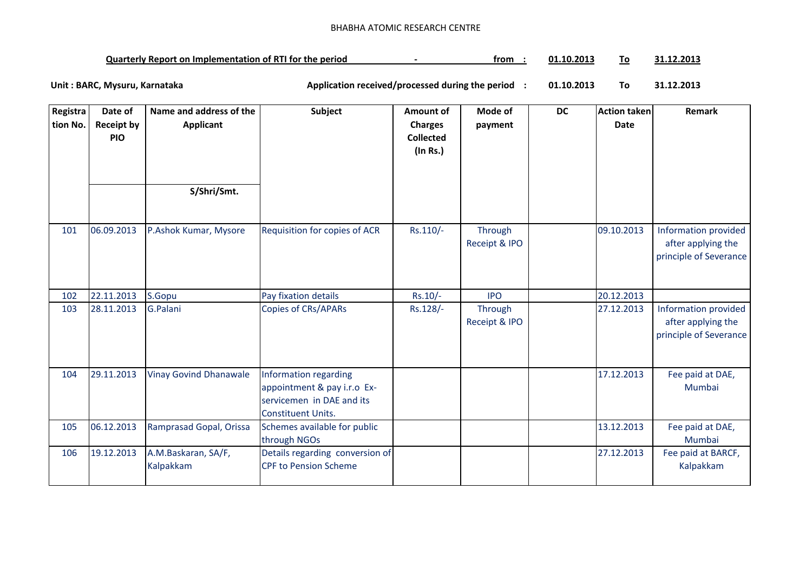## BHABHA ATOMIC RESEARCH CENTRE

| <b>Quarterly Report on Implementation of RTI for the period</b> |  | trom | 01.10.201 |  | 1.2013ء |
|-----------------------------------------------------------------|--|------|-----------|--|---------|
|-----------------------------------------------------------------|--|------|-----------|--|---------|

**01.10.2013 To 31.12.2013** Unit : BARC, Mysuru, Karnataka **Alexander States and Application received/processed during the period** :

| Registra<br>tion No. | Date of<br><b>Receipt by</b><br><b>PIO</b> | Name and address of the<br><b>Applicant</b> | Subject                                                                                                 | <b>Amount of</b><br><b>Charges</b><br><b>Collected</b><br>$($ In Rs. $)$ | Mode of<br>payment       | <b>DC</b> | Action taken<br><b>Date</b> | Remark                                                               |
|----------------------|--------------------------------------------|---------------------------------------------|---------------------------------------------------------------------------------------------------------|--------------------------------------------------------------------------|--------------------------|-----------|-----------------------------|----------------------------------------------------------------------|
|                      |                                            | S/Shri/Smt.                                 |                                                                                                         |                                                                          |                          |           |                             |                                                                      |
| 101                  | 06.09.2013                                 | P.Ashok Kumar, Mysore                       | Requisition for copies of ACR                                                                           | Rs.110/-                                                                 | Through<br>Receipt & IPO |           | 09.10.2013                  | Information provided<br>after applying the<br>principle of Severance |
| 102                  | 22.11.2013                                 | S.Gopu                                      | Pay fixation details                                                                                    | $Rs.10/-$                                                                | <b>IPO</b>               |           | 20.12.2013                  |                                                                      |
| 103                  | 28.11.2013                                 | G.Palani                                    | <b>Copies of CRs/APARs</b>                                                                              | Rs.128/-                                                                 | Through<br>Receipt & IPO |           | 27.12.2013                  | Information provided<br>after applying the<br>principle of Severance |
| 104                  | 29.11.2013                                 | <b>Vinay Govind Dhanawale</b>               | Information regarding<br>appointment & pay i.r.o Ex-<br>servicemen in DAE and its<br>Constituent Units. |                                                                          |                          |           | 17.12.2013                  | Fee paid at DAE,<br>Mumbai                                           |
| 105                  | 06.12.2013                                 | Ramprasad Gopal, Orissa                     | Schemes available for public<br>through NGOs                                                            |                                                                          |                          |           | 13.12.2013                  | Fee paid at DAE,<br>Mumbai                                           |
| 106                  | 19.12.2013                                 | A.M.Baskaran, SA/F,<br>Kalpakkam            | Details regarding conversion of<br><b>CPF to Pension Scheme</b>                                         |                                                                          |                          |           | 27.12.2013                  | Fee paid at BARCF,<br>Kalpakkam                                      |